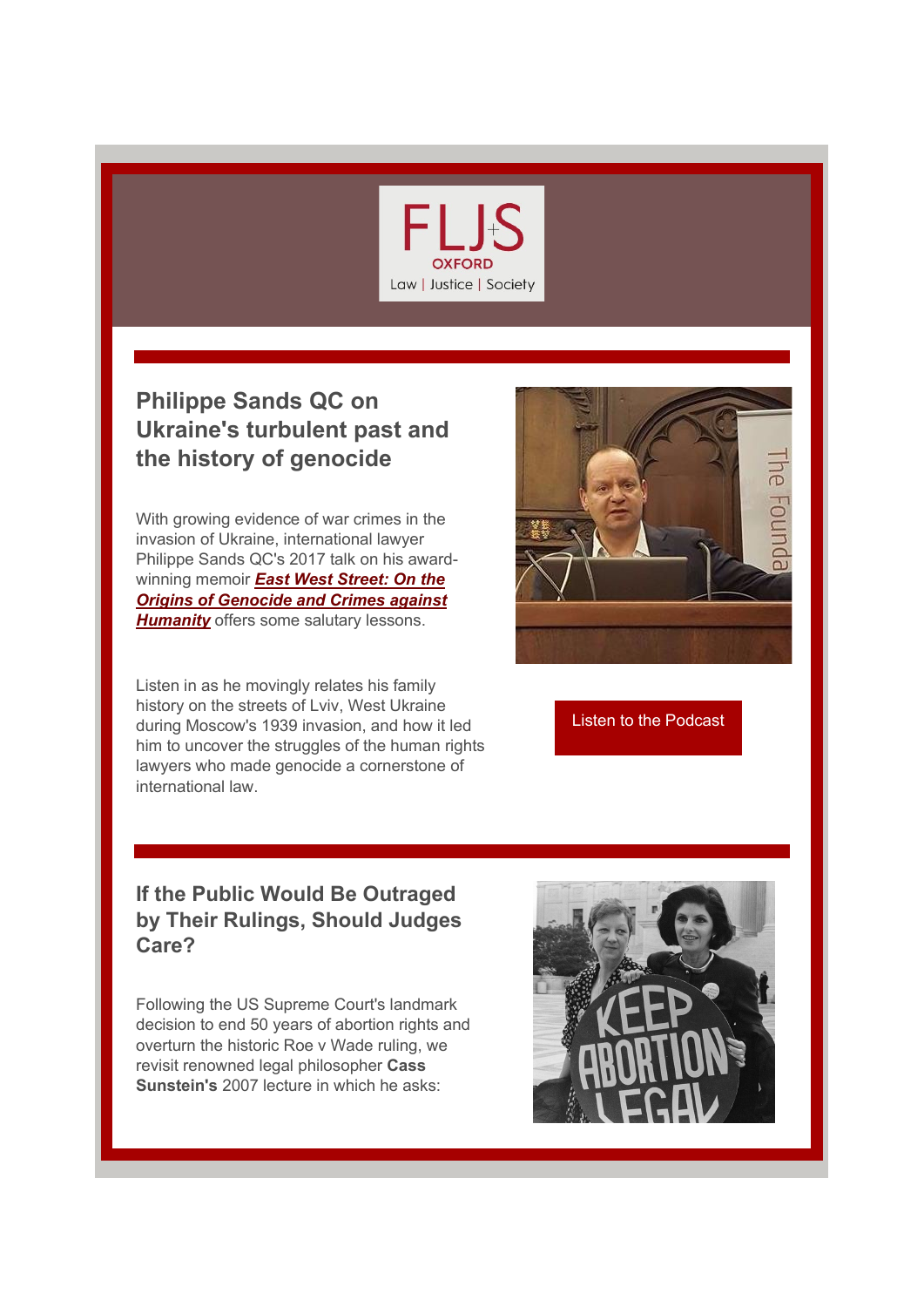

## **Philippe Sands QC on Ukraine's turbulent past and the history of genocide**

With growing evidence of war crimes in the invasion of Ukraine, international lawyer Philippe Sands QC's 2017 talk on his awardwinning memoir *[East West Street: On the](https://r20.rs6.net/tn.jsp?f=001p8bmjeKLlvtYckHdFt3lIgymmZ5wowfh_xQeK2sxAnFEsSaGTzb-bD4Ij0waAt37PxukayQE5TO0AIMX4_yjq3eUhTNx4g7KPXxAlvDpqLmyPR1-3-6riEPKdi4jlhSLEyJ2bF22Mgra0LgE6yLPhfLIbLyHRupIBy6fsir6mTRzgN26ce9-aVGej5rUARqPxKpYYZb4DW3WIQYmMEg6B3xqjhfp230J&c=12naUafYVmRwD7ThuFOpQ7GBbByr6o7xxKrqVYd0IYpuc3IJ6ILTbQ==&ch=YPSIlkZncz7zKB2Hzr9Q2Wq6tRtm2ef2K2qYFHaOV1Qlz16xc2lS7g==)  [Origins of Genocide and Crimes against](https://r20.rs6.net/tn.jsp?f=001p8bmjeKLlvtYckHdFt3lIgymmZ5wowfh_xQeK2sxAnFEsSaGTzb-bD4Ij0waAt37PxukayQE5TO0AIMX4_yjq3eUhTNx4g7KPXxAlvDpqLmyPR1-3-6riEPKdi4jlhSLEyJ2bF22Mgra0LgE6yLPhfLIbLyHRupIBy6fsir6mTRzgN26ce9-aVGej5rUARqPxKpYYZb4DW3WIQYmMEg6B3xqjhfp230J&c=12naUafYVmRwD7ThuFOpQ7GBbByr6o7xxKrqVYd0IYpuc3IJ6ILTbQ==&ch=YPSIlkZncz7zKB2Hzr9Q2Wq6tRtm2ef2K2qYFHaOV1Qlz16xc2lS7g==)  [Humanity](https://r20.rs6.net/tn.jsp?f=001p8bmjeKLlvtYckHdFt3lIgymmZ5wowfh_xQeK2sxAnFEsSaGTzb-bD4Ij0waAt37PxukayQE5TO0AIMX4_yjq3eUhTNx4g7KPXxAlvDpqLmyPR1-3-6riEPKdi4jlhSLEyJ2bF22Mgra0LgE6yLPhfLIbLyHRupIBy6fsir6mTRzgN26ce9-aVGej5rUARqPxKpYYZb4DW3WIQYmMEg6B3xqjhfp230J&c=12naUafYVmRwD7ThuFOpQ7GBbByr6o7xxKrqVYd0IYpuc3IJ6ILTbQ==&ch=YPSIlkZncz7zKB2Hzr9Q2Wq6tRtm2ef2K2qYFHaOV1Qlz16xc2lS7g==)* offers some salutary lessons.

Listen in as he movingly relates his family history on the streets of Lviv, West Ukraine during Moscow's 1939 invasion, and how it led him to uncover the struggles of the human rights lawyers who made genocide a cornerstone of international law.



[Listen to the Podcast](https://r20.rs6.net/tn.jsp?f=001p8bmjeKLlvtYckHdFt3lIgymmZ5wowfh_xQeK2sxAnFEsSaGTzb-bD4Ij0waAt37PxukayQE5TO0AIMX4_yjq3eUhTNx4g7KPXxAlvDpqLmyPR1-3-6riEPKdi4jlhSLEyJ2bF22Mgra0LgE6yLPhfLIbLyHRupIBy6fsir6mTRzgN26ce9-aVGej5rUARqPxKpYYZb4DW3WIQYmMEg6B3xqjhfp230J&c=12naUafYVmRwD7ThuFOpQ7GBbByr6o7xxKrqVYd0IYpuc3IJ6ILTbQ==&ch=YPSIlkZncz7zKB2Hzr9Q2Wq6tRtm2ef2K2qYFHaOV1Qlz16xc2lS7g==)

## **If the Public Would Be Outraged by Their Rulings, Should Judges Care?**

Following the US Supreme Court's landmark decision to end 50 years of abortion rights and overturn the historic Roe v Wade ruling, we revisit renowned legal philosopher **Cass Sunstein's** 2007 lecture in which he asks: